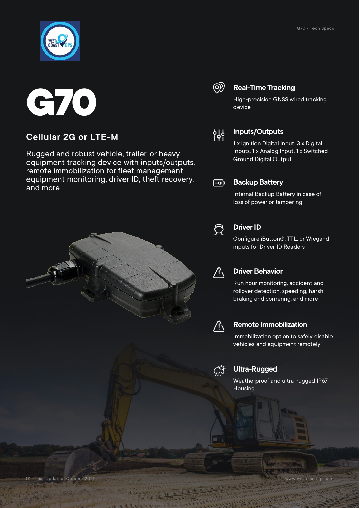



### **Cellular 2G or LTE-M**

Rugged and robust vehicle, trailer, or heavy equipment tracking device with inputs/outputs, remote immobilization for fleet management, equipment monitoring, driver ID, theft recovery, and more



### @

#### **Real-Time Tracking**

High-precision GNSS wired tracking device



#### **Inputs/Outputs**

1 x Ignition Digital Input, 3 x Digital Inputs, 1 x Analog Input, 1 x Switched Ground Digital Output

#### ∣कि

#### **Backup Battery**

Internal Backup Battery in case of loss of power or tampering



#### **Driver ID**

Configure iButton®, TTL, or Wiegand inputs for Driver ID Readers



#### **Driver Behavior**

Run hour monitoring, accident and rollover detection, speeding, harsh braking and cornering, and more



#### **Remote Immobilization**

Immobilization option to safely disable vehicles and equipment remotely



#### **Ultra-Rugged**

Weatherproof and ultra-rugged IP67 Housing

01 - Last Updated: October 2021 www.westcoastgps.com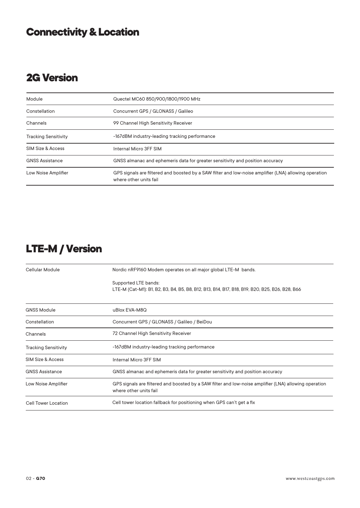# **Connectivity & Location**

# **2G Version**

| Module                      | Quectel MC60 850/900/1800/1900 MHz                                                                                              |
|-----------------------------|---------------------------------------------------------------------------------------------------------------------------------|
| Constellation               | Concurrent GPS / GLONASS / Galileo                                                                                              |
| Channels                    | 99 Channel High Sensitivity Receiver                                                                                            |
| <b>Tracking Sensitivity</b> | -167dBM industry-leading tracking performance                                                                                   |
| SIM Size & Access           | Internal Micro 3FF SIM                                                                                                          |
| <b>GNSS Assistance</b>      | GNSS almanac and ephemeris data for greater sensitivity and position accuracy                                                   |
| Low Noise Amplifier         | GPS signals are filtered and boosted by a SAW filter and low-noise amplifier (LNA) allowing operation<br>where other units fail |

## **LTE-M / Version**

| Cellular Module              | Nordic nRF9160 Modem operates on all major global LTE-M bands.                                                                  |
|------------------------------|---------------------------------------------------------------------------------------------------------------------------------|
|                              | Supported LTE bands:<br>LTE-M (Cat-M1): B1, B2, B3, B4, B5, B8, B12, B13, B14, B17, B18, B19, B20, B25, B26, B28, B66           |
| <b>GNSS Module</b>           | uBlox EVA-M8Q                                                                                                                   |
| Constellation                | Concurrent GPS / GLONASS / Galileo / BeiDou                                                                                     |
| Channels                     | 72 Channel High Sensitivity Receiver                                                                                            |
| <b>Tracking Sensitivity</b>  | -167dBM industry-leading tracking performance                                                                                   |
| <b>SIM Size &amp; Access</b> | Internal Micro 3FF SIM                                                                                                          |
| <b>GNSS Assistance</b>       | GNSS almanac and ephemeris data for greater sensitivity and position accuracy                                                   |
| Low Noise Amplifier          | GPS signals are filtered and boosted by a SAW filter and low-noise amplifier (LNA) allowing operation<br>where other units fail |
| <b>Cell Tower Location</b>   | Cell tower location fallback for positioning when GPS can't get a fix                                                           |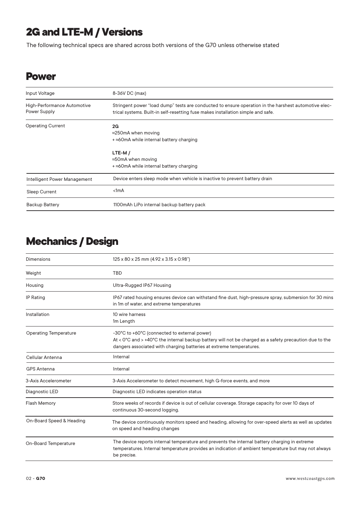# **2G and LTE-M / Versions**

The following technical specs are shared across both versions of the G70 unless otherwise stated

### **Power**

| Input Voltage                               | 8-36V DC (max)                                                                                                                                                                           |
|---------------------------------------------|------------------------------------------------------------------------------------------------------------------------------------------------------------------------------------------|
| High-Performance Automotive<br>Power Supply | Stringent power "load dump" tests are conducted to ensure operation in the harshest automotive elec-<br>trical systems. Built-in self-resetting fuse makes installation simple and safe. |
| <b>Operating Current</b>                    | 2G<br>$\approx$ 250mA when moving<br>$+$ $\approx$ 60mA while internal battery charging                                                                                                  |
|                                             | $LTE-M/$<br>$\approx$ 50mA when moving<br>$+$ $\approx$ 60mA while internal battery charging                                                                                             |
| Intelligent Power Management                | Device enters sleep mode when vehicle is inactive to prevent battery drain                                                                                                               |
| <b>Sleep Current</b>                        | $1mA$                                                                                                                                                                                    |
| <b>Backup Battery</b>                       | 1100mAh LiPo internal backup battery pack                                                                                                                                                |

# **Mechanics / Design**

| Dimensions                   | 125 x 80 x 25 mm (4.92 x 3.15 x 0.98")                                                                                                                                                                                                  |
|------------------------------|-----------------------------------------------------------------------------------------------------------------------------------------------------------------------------------------------------------------------------------------|
| Weight                       | <b>TBD</b>                                                                                                                                                                                                                              |
| Housing                      | Ultra-Rugged IP67 Housing                                                                                                                                                                                                               |
| <b>IP Rating</b>             | IP67 rated housing ensures device can withstand fine dust, high-pressure spray, submersion for 30 mins<br>in 1m of water, and extreme temperatures                                                                                      |
| Installation                 | 10 wire harness<br>1m Length                                                                                                                                                                                                            |
| <b>Operating Temperature</b> | -30°C to +60°C (connected to external power)<br>At < $0^{\circ}$ C and > +40°C the internal backup battery will not be charged as a safety precaution due to the<br>dangers associated with charging batteries at extreme temperatures. |
| Cellular Antenna             | Internal                                                                                                                                                                                                                                |
| <b>GPS Antenna</b>           | Internal                                                                                                                                                                                                                                |
| 3-Axis Accelerometer         | 3-Axis Accelerometer to detect movement, high G-force events, and more                                                                                                                                                                  |
| Diagnostic LED               | Diagnostic LED indicates operation status                                                                                                                                                                                               |
| <b>Flash Memory</b>          | Store weeks of records if device is out of cellular coverage. Storage capacity for over 10 days of<br>continuous 30-second logging.                                                                                                     |
| On-Board Speed & Heading     | The device continuously monitors speed and heading, allowing for over-speed alerts as well as updates<br>on speed and heading changes                                                                                                   |
| On-Board Temperature         | The device reports internal temperature and prevents the internal battery charging in extreme<br>temperatures. Internal temperature provides an indication of ambient temperature but may not always<br>be precise.                     |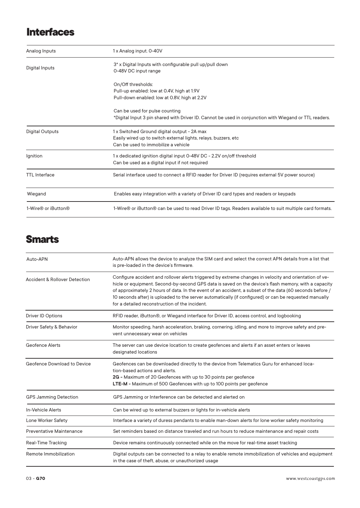## **Interfaces**

| Analog Inputs          | 1 x Analog input. 0-40V                                                                                                                              |
|------------------------|------------------------------------------------------------------------------------------------------------------------------------------------------|
| Digital Inputs         | 3* x Digital Inputs with configurable pull up/pull down<br>0-48V DC input range                                                                      |
|                        | On/Off thresholds:<br>Pull-up enabled: low at 0.4V, high at 1.9V<br>Pull-down enabled: low at 0.8V, high at 2.2V                                     |
|                        | Can be used for pulse counting<br>*Digital Input 3 pin shared with Driver ID. Cannot be used in conjunction with Wiegand or TTL readers.             |
| <b>Digital Outputs</b> | 1x Switched Ground digital output - 2A max<br>Easily wired up to switch external lights, relays, buzzers, etc<br>Can be used to immobilize a vehicle |
| Ignition               | 1x dedicated ignition digital input 0-48V DC - 2.2V on/off threshold<br>Can be used as a digital input if not required                               |
| <b>TTL</b> Interface   | Serial interface used to connect a RFID reader for Driver ID (requires external 5V power source)                                                     |
| Wiegand                | Enables easy integration with a variety of Driver ID card types and readers or keypads                                                               |
| 1-Wire® or iButton®    | 1-Wire® or iButton® can be used to read Driver ID tags. Readers available to suit multiple card formats.                                             |

### **Smarts**

| Auto-APN                                 | Auto-APN allows the device to analyze the SIM card and select the correct APN details from a list that<br>is pre-loaded in the device's firmware.                                                                                                                                                                                                                                                                                                                                      |
|------------------------------------------|----------------------------------------------------------------------------------------------------------------------------------------------------------------------------------------------------------------------------------------------------------------------------------------------------------------------------------------------------------------------------------------------------------------------------------------------------------------------------------------|
| <b>Accident &amp; Rollover Detection</b> | Configure accident and rollover alerts triggered by extreme changes in velocity and orientation of ve-<br>hicle or equipment. Second-by-second GPS data is saved on the device's flash memory, with a capacity<br>of approximately 2 hours of data. In the event of an accident, a subset of the data (60 seconds before /<br>10 seconds after) is uploaded to the server automatically (if configured) or can be requested manually<br>for a detailed reconstruction of the incident. |
| Driver ID Options                        | RFID reader, iButton®, or Wiegand interface for Driver ID, access control, and logbooking                                                                                                                                                                                                                                                                                                                                                                                              |
| Driver Safety & Behavior                 | Monitor speeding, harsh acceleration, braking, cornering, idling, and more to improve safety and pre-<br>vent unnecessary wear on vehicles                                                                                                                                                                                                                                                                                                                                             |
| <b>Geofence Alerts</b>                   | The server can use device location to create geofences and alerts if an asset enters or leaves<br>designated locations                                                                                                                                                                                                                                                                                                                                                                 |
| Geofence Download to Device              | Geofences can be downloaded directly to the device from Telematics Guru for enhanced loca-<br>tion-based actions and alerts.<br>2G - Maximum of 20 Geofences with up to 30 points per geofence<br>LTE-M - Maximum of 500 Geofences with up to 100 points per geofence                                                                                                                                                                                                                  |
| <b>GPS Jamming Detection</b>             | GPS Jamming or Interference can be detected and alerted on                                                                                                                                                                                                                                                                                                                                                                                                                             |
| <b>In-Vehicle Alerts</b>                 | Can be wired up to external buzzers or lights for in-vehicle alerts                                                                                                                                                                                                                                                                                                                                                                                                                    |
| Lone Worker Safety                       | Interface a variety of duress pendants to enable man-down alerts for lone worker safety monitoring                                                                                                                                                                                                                                                                                                                                                                                     |
| <b>Preventative Maintenance</b>          | Set reminders based on distance traveled and run hours to reduce maintenance and repair costs                                                                                                                                                                                                                                                                                                                                                                                          |
| Real-Time Tracking                       | Device remains continuously connected while on the move for real-time asset tracking                                                                                                                                                                                                                                                                                                                                                                                                   |
| Remote Immobilization                    | Digital outputs can be connected to a relay to enable remote immobilization of vehicles and equipment<br>in the case of theft, abuse, or unauthorized usage                                                                                                                                                                                                                                                                                                                            |